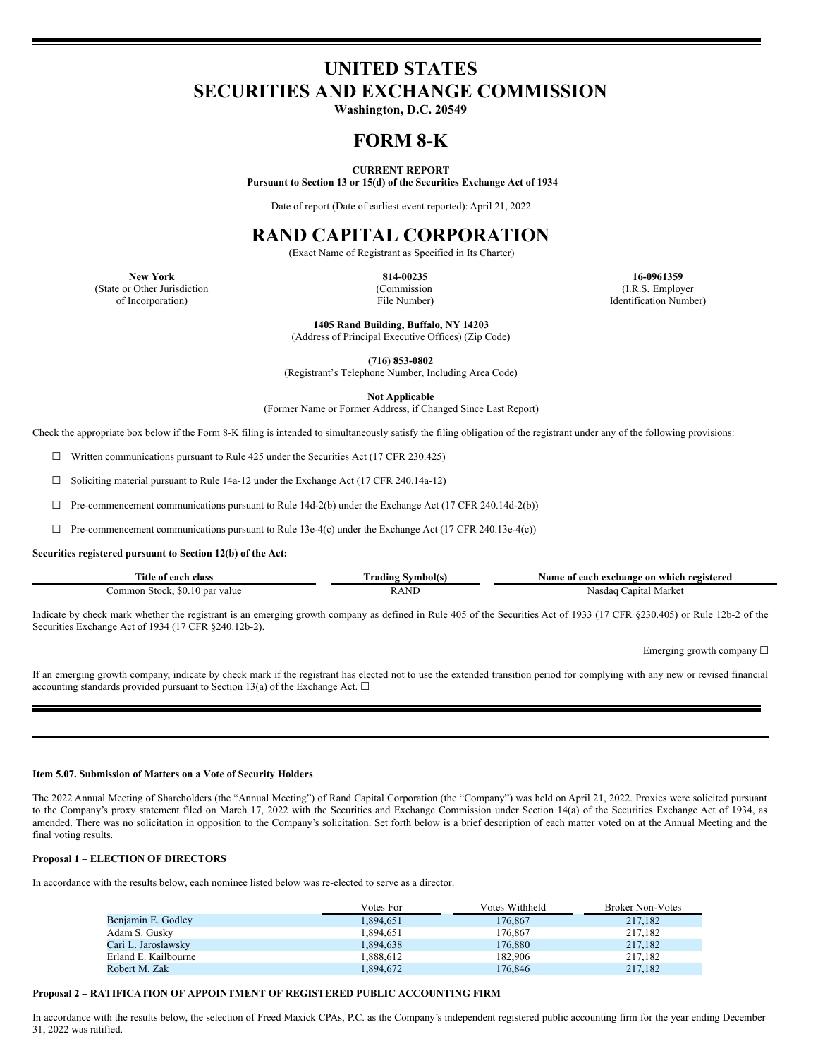# **UNITED STATES SECURITIES AND EXCHANGE COMMISSION**

**Washington, D.C. 20549**

# **FORM 8-K**

## **CURRENT REPORT**

**Pursuant to Section 13 or 15(d) of the Securities Exchange Act of 1934**

Date of report (Date of earliest event reported): April 21, 2022

## **RAND CAPITAL CORPORATION**

(Exact Name of Registrant as Specified in Its Charter)

(State or Other Jurisdiction of Incorporation)

(Commission File Number)

**New York 814-00235 16-0961359** (I.R.S. Employer Identification Number)

**1405 Rand Building, Buffalo, NY 14203**

(Address of Principal Executive Offices) (Zip Code)

**(716) 853-0802**

(Registrant's Telephone Number, Including Area Code)

**Not Applicable**

(Former Name or Former Address, if Changed Since Last Report)

Check the appropriate box below if the Form 8-K filing is intended to simultaneously satisfy the filing obligation of the registrant under any of the following provisions:

 $\Box$  Written communications pursuant to Rule 425 under the Securities Act (17 CFR 230.425)

☐ Soliciting material pursuant to Rule 14a-12 under the Exchange Act (17 CFR 240.14a-12)

☐ Pre-commencement communications pursuant to Rule 14d-2(b) under the Exchange Act (17 CFR 240.14d-2(b))

☐ Pre-commencement communications pursuant to Rule 13e-4(c) under the Exchange Act (17 CFR 240.13e-4(c))

**Securities registered pursuant to Section 12(b) of the Act:**

| $\sim$<br>`itle<br>class<br>ot each        | vmbolts<br>radıns                                                 | registered<br>vame<br>r exchange on<br>- which-<br>of each |
|--------------------------------------------|-------------------------------------------------------------------|------------------------------------------------------------|
| w<br>Stock.<br>.ommon<br>value<br>par<br>. | $\overline{A}$<br>the contract of the contract of the contract of | Nasdad<br>Marke <sup>*</sup><br>∟apıtal                    |

Indicate by check mark whether the registrant is an emerging growth company as defined in Rule 405 of the Securities Act of 1933 (17 CFR §230.405) or Rule 12b-2 of the Securities Exchange Act of 1934 (17 CFR §240.12b-2).

Emerging growth company ☐

If an emerging growth company, indicate by check mark if the registrant has elected not to use the extended transition period for complying with any new or revised financial accounting standards provided pursuant to Section 13(a) of the Exchange Act.  $\square$ 

#### **Item 5.07. Submission of Matters on a Vote of Security Holders**

The 2022 Annual Meeting of Shareholders (the "Annual Meeting") of Rand Capital Corporation (the "Company") was held on April 21, 2022. Proxies were solicited pursuant to the Company's proxy statement filed on March 17, 2022 with the Securities and Exchange Commission under Section 14(a) of the Securities Exchange Act of 1934, as amended. There was no solicitation in opposition to the Company's solicitation. Set forth below is a brief description of each matter voted on at the Annual Meeting and the final voting results.

### **Proposal 1 – ELECTION OF DIRECTORS**

In accordance with the results below, each nominee listed below was re-elected to serve as a director.

|                      | Votes For | Votes Withheld | <b>Broker Non-Votes</b> |
|----------------------|-----------|----------------|-------------------------|
| Benjamin E. Godley   | 1.894.651 | 176,867        | 217,182                 |
| Adam S. Gusky        | 1.894.651 | 176,867        | 217.182                 |
| Cari L. Jaroslawsky  | 1.894.638 | 176,880        | 217,182                 |
| Erland E. Kailbourne | 1.888.612 | 182,906        | 217,182                 |
| Robert M. Zak        | 1.894.672 | 176,846        | 217.182                 |

### **Proposal 2 – RATIFICATION OF APPOINTMENT OF REGISTERED PUBLIC ACCOUNTING FIRM**

In accordance with the results below, the selection of Freed Maxick CPAs, P.C. as the Company's independent registered public accounting firm for the year ending December 31, 2022 was ratified.